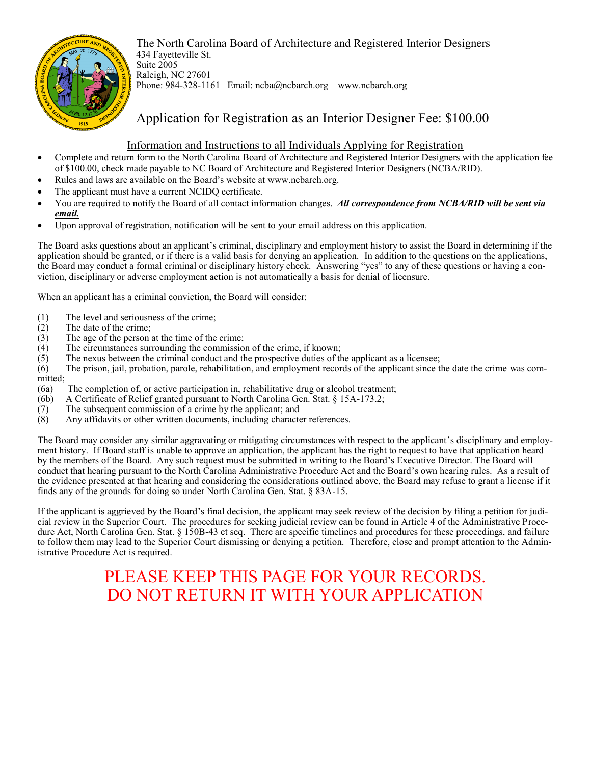

The North Carolina Board of Architecture and Registered Interior Designers 434 Fayetteville St. Suite 2005 Raleigh, NC 27601 Phone: 984-328-1161 Email: ncba@ncbarch.org www.ncbarch.org

## Application for Registration as an Interior Designer Fee: \$100.00

### Information and Instructions to all Individuals Applying for Registration

- Complete and return form to the North Carolina Board of Architecture and Registered Interior Designers with the application fee of \$100.00, check made payable to NC Board of Architecture and Registered Interior Designers (NCBA/RID).
- Rules and laws are available on the Board's website at www.ncbarch.org.
- The applicant must have a current NCIDQ certificate.
- You are required to notify the Board of all contact information changes. *All correspondence from NCBA/RID will be sent via email.*
- Upon approval of registration, notification will be sent to your email address on this application.

The Board asks questions about an applicant's criminal, disciplinary and employment history to assist the Board in determining if the application should be granted, or if there is a valid basis for denying an application. In addition to the questions on the applications, the Board may conduct a formal criminal or disciplinary history check. Answering "yes" to any of these questions or having a conviction, disciplinary or adverse employment action is not automatically a basis for denial of licensure.

When an applicant has a criminal conviction, the Board will consider:

- (1) The level and seriousness of the crime;
- (2) The date of the crime;
- (3) The age of the person at the time of the crime;
- (4) The circumstances surrounding the commission of the crime, if known;
- (5) The nexus between the criminal conduct and the prospective duties of the applicant as a licensee;
- (6) The prison, jail, probation, parole, rehabilitation, and employment records of the applicant since the date the crime was committed;
- (6a) The completion of, or active participation in, rehabilitative drug or alcohol treatment;
- (6b) A Certificate of Relief granted pursuant to North Carolina Gen. Stat. § 15A-173.2;
- $(7)$  The subsequent commission of a crime by the applicant; and
- (8) Any affidavits or other written documents, including character references.

The Board may consider any similar aggravating or mitigating circumstances with respect to the applicant's disciplinary and employment history. If Board staff is unable to approve an application, the applicant has the right to request to have that application heard by the members of the Board. Any such request must be submitted in writing to the Board's Executive Director. The Board will conduct that hearing pursuant to the North Carolina Administrative Procedure Act and the Board's own hearing rules. As a result of the evidence presented at that hearing and considering the considerations outlined above, the Board may refuse to grant a license if it finds any of the grounds for doing so under North Carolina Gen. Stat. § 83A-15.

If the applicant is aggrieved by the Board's final decision, the applicant may seek review of the decision by filing a petition for judicial review in the Superior Court. The procedures for seeking judicial review can be found in Article 4 of the Administrative Procedure Act, North Carolina Gen. Stat. § 150B-43 et seq. There are specific timelines and procedures for these proceedings, and failure to follow them may lead to the Superior Court dismissing or denying a petition. Therefore, close and prompt attention to the Administrative Procedure Act is required.

# PLEASE KEEP THIS PAGE FOR YOUR RECORDS. DO NOT RETURN IT WITH YOUR APPLICATION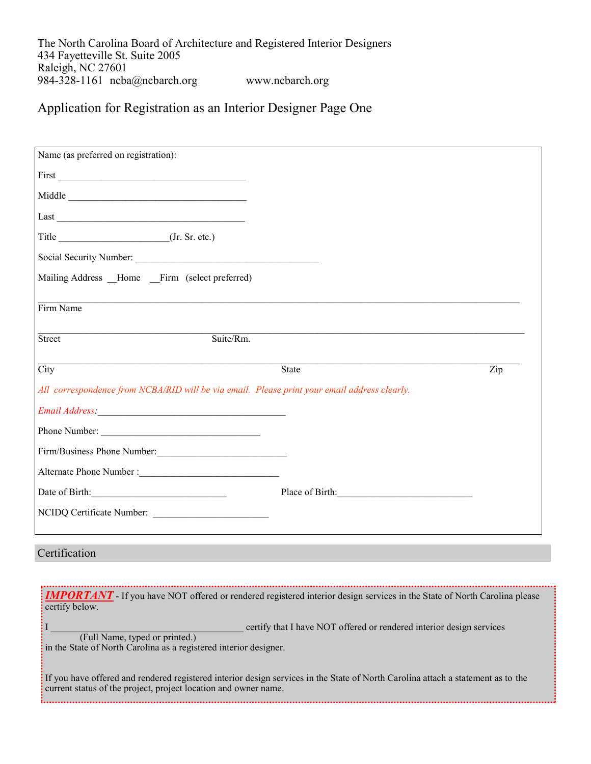The North Carolina Board of Architecture and Registered Interior Designers 434 Fayetteville St. Suite 2005 Raleigh, NC 27601 984-328-1161 ncba@ncbarch.org www.ncbarch.org

## Application for Registration as an Interior Designer Page One

| Name (as preferred on registration):                                                                                                                                                                                                     |                      |                           |
|------------------------------------------------------------------------------------------------------------------------------------------------------------------------------------------------------------------------------------------|----------------------|---------------------------|
|                                                                                                                                                                                                                                          |                      |                           |
| Middle                                                                                                                                                                                                                                   |                      |                           |
|                                                                                                                                                                                                                                          |                      |                           |
| Title _____________________________(Jr. Sr. etc.)                                                                                                                                                                                        |                      |                           |
|                                                                                                                                                                                                                                          |                      |                           |
| Mailing Address _Home _Firm (select preferred)                                                                                                                                                                                           |                      |                           |
| Firm Name                                                                                                                                                                                                                                |                      |                           |
| Street<br>Suite/Rm.                                                                                                                                                                                                                      |                      |                           |
| $\overline{City}$                                                                                                                                                                                                                        | <b>State</b>         | $\overline{\mathrm{Zip}}$ |
| All correspondence from NCBA/RID will be via email. Please print your email address clearly.                                                                                                                                             |                      |                           |
|                                                                                                                                                                                                                                          |                      |                           |
| Phone Number:                                                                                                                                                                                                                            |                      |                           |
| Firm/Business Phone Number:                                                                                                                                                                                                              |                      |                           |
|                                                                                                                                                                                                                                          |                      |                           |
| Date of Birth:                                                                                                                                                                                                                           | Place of Birth: 1999 |                           |
| NCIDQ Certificate Number:                                                                                                                                                                                                                |                      |                           |
| Certification                                                                                                                                                                                                                            |                      |                           |
|                                                                                                                                                                                                                                          |                      |                           |
| <b>IMPORTANT</b> If you have NOT offered or rendered registered interior design services in the State of North Carolina please<br>certify below.<br>certify that I have NOT offered or rendered interior design services<br>$\mathbf{I}$ |                      |                           |
| (Full Name, typed or printed.)                                                                                                                                                                                                           |                      |                           |

in the State of North Carolina as a registered interior designer.

If you have offered and rendered registered interior design services in the State of North Carolina attach a statement as to the current status of the project, project location and owner name.

 $\frac{1}{2}$